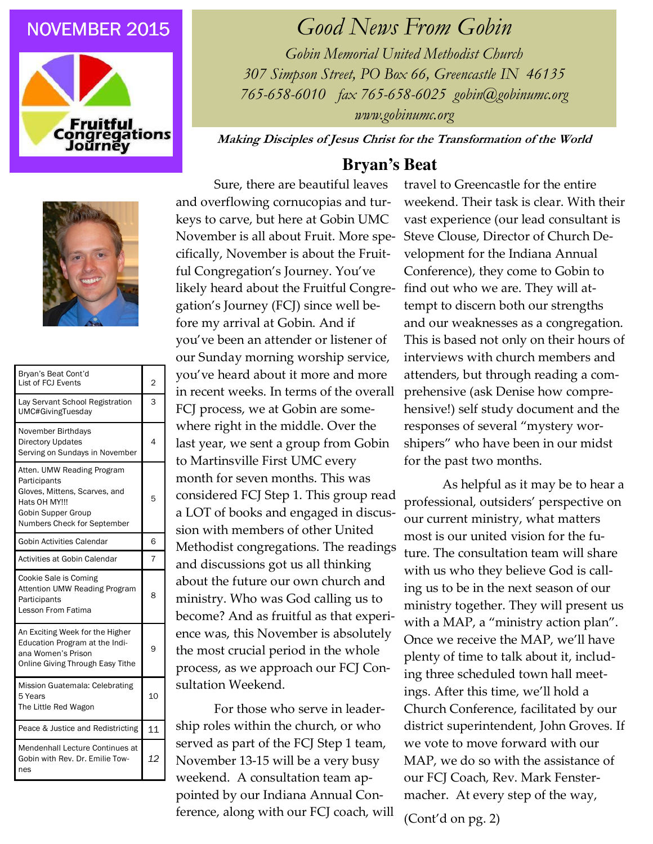## **NOVEMBER 2015**





| Bryan's Beat Cont'd<br>List of FCJ Events                                                                                                         | 2  |
|---------------------------------------------------------------------------------------------------------------------------------------------------|----|
| Lay Servant School Registration<br>UMC#GivingTuesday                                                                                              | 3  |
| November Birthdays<br><b>Directory Updates</b><br>Serving on Sundays in November                                                                  | 4  |
| Atten. UMW Reading Program<br>Participants<br>Gloves, Mittens, Scarves, and<br>Hats OH MY!!!<br>Gobin Supper Group<br>Numbers Check for September | 5  |
| Gobin Activities Calendar                                                                                                                         | 6  |
| Activities at Gobin Calendar                                                                                                                      | 7  |
|                                                                                                                                                   |    |
| Cookie Sale is Coming<br>Attention UMW Reading Program<br>Participants<br>Lesson From Fatima                                                      | 8  |
| An Exciting Week for the Higher<br>Education Program at the Indi-<br>ana Women's Prison<br>Online Giving Through Easy Tithe                       | 9  |
| Mission Guatemala: Celebrating<br>5 Years<br>The Little Red Wagon                                                                                 | 10 |
| Peace & Justice and Redistricting                                                                                                                 | 11 |

## Good News From Gobin

Gobin Memorial United Methodist Church 307 Simpson Street, PO Box 66, Greencastle IN 46135 765-658-6010 fax 765-658-6025 gobin@gobinumc.org www.gobinumc.org

Making Disciples of Jesus Christ for the Transformation of the World

## **Bryan's Beat**

Sure, there are beautiful leaves and overflowing cornucopias and turkeys to carve, but here at Gobin UMC November is all about Fruit. More specifically, November is about the Fruitful Congregation's Journey. You've likely heard about the Fruitful Congregation's Journey (FCJ) since well before my arrival at Gobin. And if you've been an attender or listener of our Sunday morning worship service, you've heard about it more and more in recent weeks. In terms of the overall FCJ process, we at Gobin are somewhere right in the middle. Over the last year, we sent a group from Gobin to Martinsville First UMC every month for seven months. This was considered FCJ Step 1. This group read a LOT of books and engaged in discussion with members of other United Methodist congregations. The readings and discussions got us all thinking about the future our own church and ministry. Who was God calling us to become? And as fruitful as that experience was, this November is absolutely the most crucial period in the whole process, as we approach our FCJ Consultation Weekend.

 For those who serve in leadership roles within the church, or who served as part of the FCJ Step 1 team, November 13-15 will be a very busy weekend. A consultation team appointed by our Indiana Annual Conference, along with our FCJ coach, will

travel to Greencastle for the entire weekend. Their task is clear. With their vast experience (our lead consultant is Steve Clouse, Director of Church Development for the Indiana Annual Conference), they come to Gobin to find out who we are. They will attempt to discern both our strengths and our weaknesses as a congregation. This is based not only on their hours of interviews with church members and attenders, but through reading a comprehensive (ask Denise how comprehensive!) self study document and the responses of several "mystery worshipers" who have been in our midst for the past two months.

 As helpful as it may be to hear a professional, outsiders' perspective on our current ministry, what matters most is our united vision for the future. The consultation team will share with us who they believe God is calling us to be in the next season of our ministry together. They will present us with a MAP, a "ministry action plan". Once we receive the MAP, we'll have plenty of time to talk about it, including three scheduled town hall meetings. After this time, we'll hold a Church Conference, facilitated by our district superintendent, John Groves. If we vote to move forward with our MAP, we do so with the assistance of our FCJ Coach, Rev. Mark Fenstermacher. At every step of the way,

(Cont'd on pg. 2)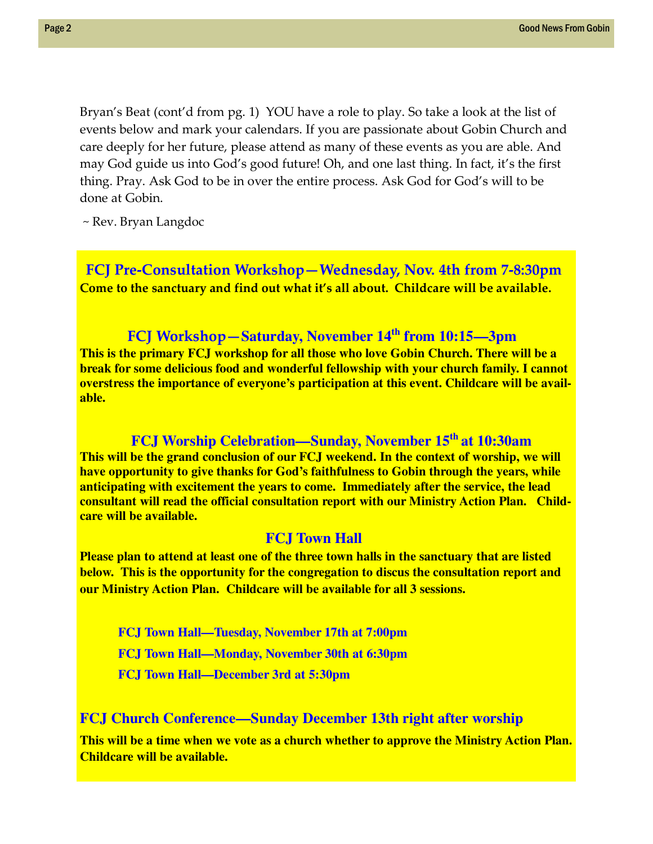Bryan's Beat (cont'd from pg. 1) YOU have a role to play. So take a look at the list of events below and mark your calendars. If you are passionate about Gobin Church and care deeply for her future, please attend as many of these events as you are able. And may God guide us into God's good future! Oh, and one last thing. In fact, it's the first thing. Pray. Ask God to be in over the entire process. Ask God for God's will to be done at Gobin.

~ Rev. Bryan Langdoc

 FCJ Pre-Consultation Workshop—Wednesday, Nov. 4th from 7-8:30pm Come to the sanctuary and find out what it's all about. Childcare will be available.

## FCJ Workshop—**Saturday, November 14th from 10:15—3pm**

**This is the primary FCJ workshop for all those who love Gobin Church. There will be a break for some delicious food and wonderful fellowship with your church family. I cannot overstress the importance of everyone's participation at this event. Childcare will be available.** 

## **FCJ Worship Celebration—Sunday, November 15th at 10:30am**

**This will be the grand conclusion of our FCJ weekend. In the context of worship, we will have opportunity to give thanks for God's faithfulness to Gobin through the years, while anticipating with excitement the years to come. Immediately after the service, the lead consultant will read the official consultation report with our Ministry Action Plan. Childcare will be available.**

## **FCJ Town Hall**

**Please plan to attend at least one of the three town halls in the sanctuary that are listed below. This is the opportunity for the congregation to discus the consultation report and our Ministry Action Plan. Childcare will be available for all 3 sessions.** 

**FCJ Town Hall—Tuesday, November 17th at 7:00pm FCJ Town Hall—Monday, November 30th at 6:30pm FCJ Town Hall—December 3rd at 5:30pm** 

## **FCJ Church Conference—Sunday December 13th right after worship**

**This will be a time when we vote as a church whether to approve the Ministry Action Plan. Childcare will be available.**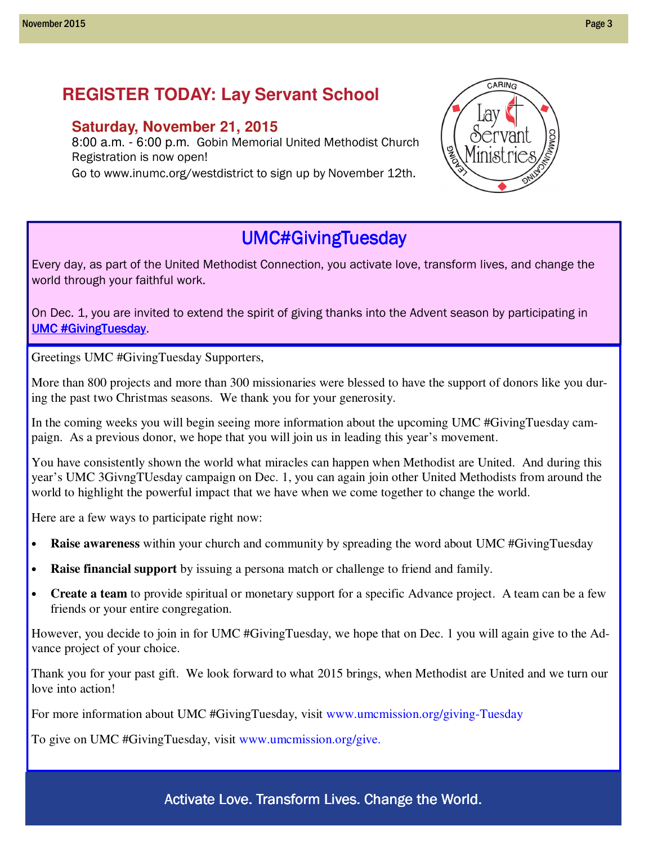## **REGISTER TODAY: Lay Servant School**

## **Saturday, November 21, 2015**

8:00 a.m. - 6:00 p.m. Gobin Memorial United Methodist Church Registration is now open!

Go to www.inumc.org/westdistrict to sign up by November 12th.



CARING

## UMC#GivingTuesday

Every day, as part of the United Methodist Connection, you activate love, transform lives, and change the world through your faithful work.

On Dec. 1, you are invited to extend the spirit of giving thanks into the Advent season by participating in UMC #GivingTuesday.

Greetings UMC #GivingTuesday Supporters,

More than 800 projects and more than 300 missionaries were blessed to have the support of donors like you during the past two Christmas seasons. We thank you for your generosity.

In the coming weeks you will begin seeing more information about the upcoming UMC #GivingTuesday campaign. As a previous donor, we hope that you will join us in leading this year's movement.

You have consistently shown the world what miracles can happen when Methodist are United. And during this year's UMC 3GivngTUesday campaign on Dec. 1, you can again join other United Methodists from around the world to highlight the powerful impact that we have when we come together to change the world.

Here are a few ways to participate right now:

- **Raise awareness** within your church and community by spreading the word about UMC #GivingTuesday
- **Raise financial support** by issuing a persona match or challenge to friend and family.
- **Create a team** to provide spiritual or monetary support for a specific Advance project. A team can be a few friends or your entire congregation.

However, you decide to join in for UMC #GivingTuesday, we hope that on Dec. 1 you will again give to the Advance project of your choice.

Thank you for your past gift. We look forward to what 2015 brings, when Methodist are United and we turn our love into action!

For more information about UMC #GivingTuesday, visit www.umcmission.org/giving-Tuesday

To give on UMC #GivingTuesday, visit www.umcmission.org/give.

Activate Love. Transform Lives. Change the World.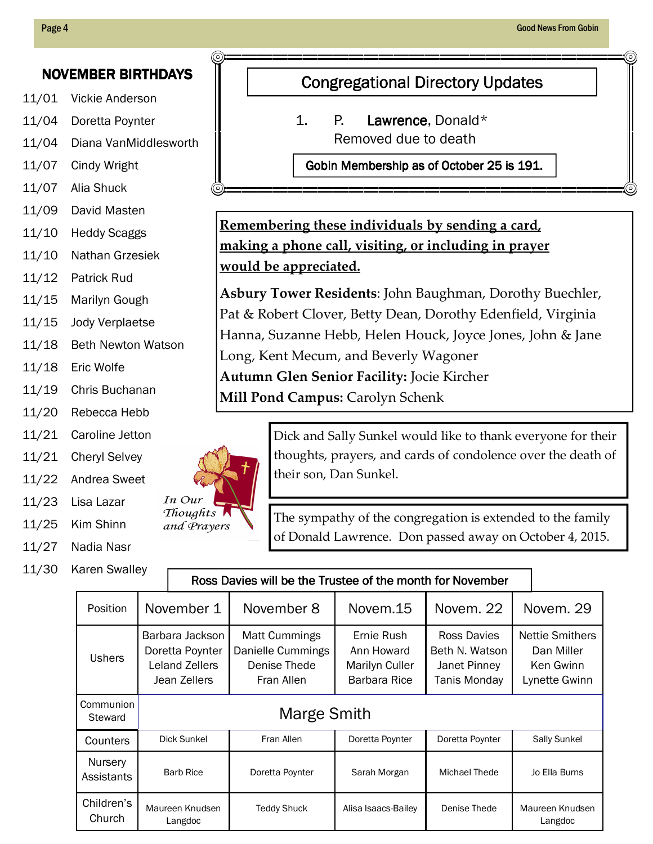## NOVEMBER BIRTHDAYS

- 11/01 Vickie Anderson
- 11/04 Doretta Poynter
- 11/04 Diana VanMiddlesworth
- 11/07 Cindy Wright
- 11/07 Alia Shuck
- 11/09 David Masten
- 11/10 Heddy Scaggs
- 11/10 Nathan Grzesiek
- 11/12 Patrick Rud
- 11/15 Marilyn Gough
- 11/15 Jody Verplaetse
- 11/18 Beth Newton Watson
- 11/18 Eric Wolfe
- 11/19 Chris Buchanan
- 11/20 Rebecca Hebb
- 11/21 Caroline Jetton
- 11/21 Cheryl Selvey
- 11/22 Andrea Sweet
- 11/23 Lisa Lazar
- 11/25 Kim Shinn
- 11/27 Nadia Nasr
- 11/30 Karen Swalley

## **Congregational Directory Updates**

1. P. Lawrence, Donald\* Removed due to death

Gobin Membership as of October 25 is 191.

Remembering these individuals by sending a card, making a phone call, visiting, or including in prayer would be appreciated.

Asbury Tower Residents: John Baughman, Dorothy Buechler, Pat & Robert Clover, Betty Dean, Dorothy Edenfield, Virginia Hanna, Suzanne Hebb, Helen Houck, Joyce Jones, John & Jane Long, Kent Mecum, and Beverly Wagoner Autumn Glen Senior Facility: Jocie Kircher Mill Pond Campus: Carolyn Schenk



Dick and Sally Sunkel would like to thank everyone for their thoughts, prayers, and cards of condolence over the death of their son, Dan Sunkel.

The sympathy of the congregation is extended to the family of Donald Lawrence. Don passed away on October 4, 2015.

## Ross Davies will be the Trustee of the month for November

| Position              | November 1                                                           | November 8                                                              | Novem.15                                                   | Novem, 22                                                     | Novem. 29                                                          |  |
|-----------------------|----------------------------------------------------------------------|-------------------------------------------------------------------------|------------------------------------------------------------|---------------------------------------------------------------|--------------------------------------------------------------------|--|
| <b>Ushers</b>         | Barbara Jackson<br>Doretta Poynter<br>Leland Zellers<br>Jean Zellers | <b>Matt Cummings</b><br>Danielle Cummings<br>Denise Thede<br>Fran Allen | Ernie Rush<br>Ann Howard<br>Marilyn Culler<br>Barbara Rice | Ross Davies<br>Beth N. Watson<br>Janet Pinney<br>Tanis Monday | <b>Nettie Smithers</b><br>Dan Miller<br>Ken Gwinn<br>Lynette Gwinn |  |
| Communion<br>Steward  | Marge Smith                                                          |                                                                         |                                                            |                                                               |                                                                    |  |
| Counters              | <b>Dick Sunkel</b>                                                   | Fran Allen                                                              | Doretta Poynter                                            | Doretta Poynter                                               | <b>Sally Sunkel</b>                                                |  |
| Nursery<br>Assistants | <b>Barb Rice</b>                                                     | Doretta Poynter                                                         | Sarah Morgan                                               | Michael Thede                                                 | Jo Ella Burns                                                      |  |
| Children's<br>Church  | Maureen Knudsen<br>Langdoc                                           | <b>Teddy Shuck</b>                                                      | Alisa Isaacs-Bailey                                        | Denise Thede                                                  | Maureen Knudsen<br>Langdoc                                         |  |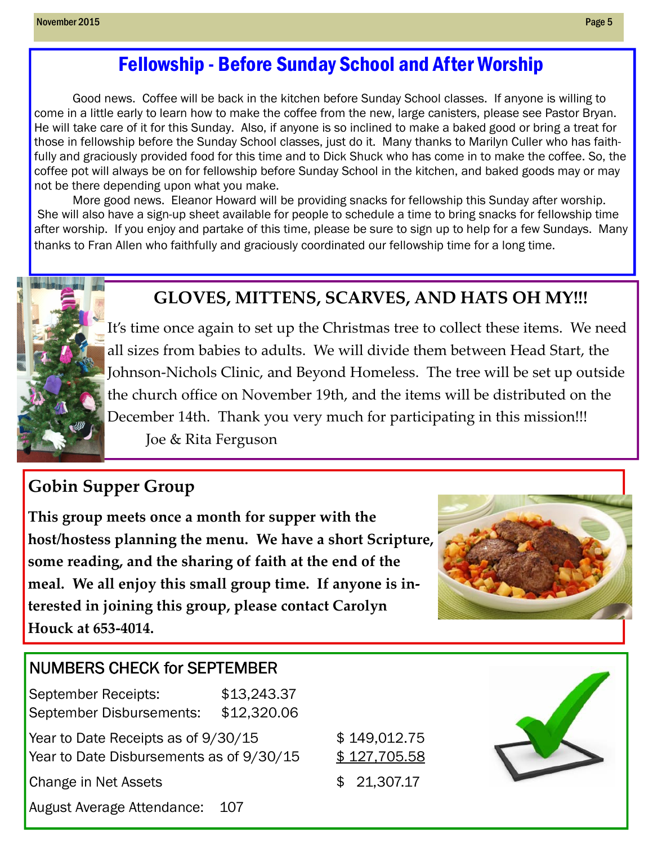## Fellowship - Before Sunday School and After Worship

 Good news. Coffee will be back in the kitchen before Sunday School classes. If anyone is willing to come in a little early to learn how to make the coffee from the new, large canisters, please see Pastor Bryan. He will take care of it for this Sunday. Also, if anyone is so inclined to make a baked good or bring a treat for those in fellowship before the Sunday School classes, just do it. Many thanks to Marilyn Culler who has faithfully and graciously provided food for this time and to Dick Shuck who has come in to make the coffee. So, the coffee pot will always be on for fellowship before Sunday School in the kitchen, and baked goods may or may not be there depending upon what you make.

 More good news. Eleanor Howard will be providing snacks for fellowship this Sunday after worship. She will also have a sign-up sheet available for people to schedule a time to bring snacks for fellowship time after worship. If you enjoy and partake of this time, please be sure to sign up to help for a few Sundays. Many thanks to Fran Allen who faithfully and graciously coordinated our fellowship time for a long time.



## GLOVES, MITTENS, SCARVES, AND HATS OH MY!!!

It's time once again to set up the Christmas tree to collect these items. We need all sizes from babies to adults. We will divide them between Head Start, the Johnson-Nichols Clinic, and Beyond Homeless. The tree will be set up outside the church office on November 19th, and the items will be distributed on the December 14th. Thank you very much for participating in this mission!!! Joe & Rita Ferguson

## Gobin Supper Group

This group meets once a month for supper with the host/hostess planning the menu. We have a short Scripture, some reading, and the sharing of faith at the end of the meal. We all enjoy this small group time. If anyone is interested in joining this group, please contact Carolyn Houck at 653-4014.



## NUMBERS CHECK for SEPTEMBER

September Receipts: \$13,243.37 September Disbursements: \$12,320.06 Year to Date Receipts as of  $9/30/15$   $$149,012.75$ Year to Date Disbursements as of  $9/30/15$  \$ 127,705.58 Change in Net Assets \$ 21,307.17 August Average Attendance: 107

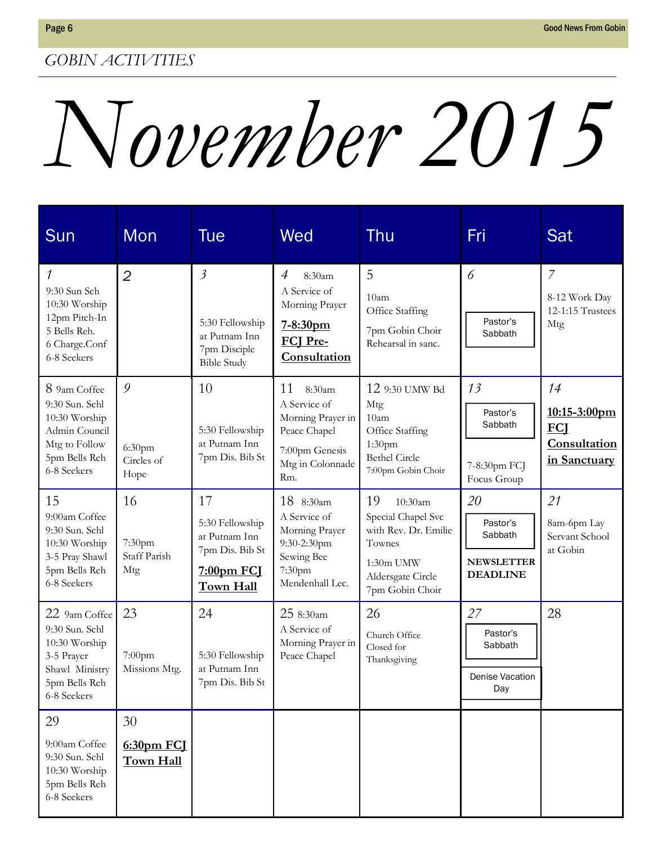# November 2015

| Sun                                                                                                               | Mon                                           | Tue                                                                                         | Wed                                                                                                            | Thu                                                                                                                              | Fri                                                               | Sat                                                              |
|-------------------------------------------------------------------------------------------------------------------|-----------------------------------------------|---------------------------------------------------------------------------------------------|----------------------------------------------------------------------------------------------------------------|----------------------------------------------------------------------------------------------------------------------------------|-------------------------------------------------------------------|------------------------------------------------------------------|
| 1<br>9:30 Sun Sch<br>10:30 Worship<br>12pm Pitch-In<br>5 Bells Reh.<br>6 Charge.Conf<br>6-8 Seekers               | $\overline{2}$                                | $\mathfrak{Z}$<br>5:30 Fellowship<br>at Putnam Inn<br>7pm Disciple<br><b>Bible Study</b>    | 4<br>8:30am<br>A Service of<br>Morning Prayer<br>7-8:30pm<br><b>FCI Pre-</b><br>Consultation                   | 5<br>10am<br>Office Staffing<br>7pm Gobin Choir<br>Rehearsal in sanc.                                                            | 6<br>Pastor's<br>Sabbath                                          | $\overline{7}$<br>8-12 Work Day<br>12-1:15 Trustees<br>Mtg       |
| 8 9am Coffee<br>9:30 Sun. Schl<br>10:30 Worship<br>Admin Council<br>Mtg to Follow<br>5pm Bells Reh<br>6-8 Seekers | 9<br>6:30 <sub>pm</sub><br>Circles of<br>Hope | 10<br>5:30 Fellowship<br>at Putnam Inn<br>7pm Dis. Bib St                                   | 11<br>8:30am<br>A Service of<br>Morning Prayer in<br>Peace Chapel<br>7:00pm Genesis<br>Mtg in Colonnade<br>Rm. | 12 9:30 UMW Bd<br>Mtg<br>10 <sub>am</sub><br>Office Staffing<br>1:30 <sub>pm</sub><br><b>Bethel Circle</b><br>7:00pm Gobin Choir | 13<br>Pastor's<br>Sabbath<br>7-8:30pm FCJ<br>Focus Group          | 14<br>10:15-3:00pm<br><b>FCI</b><br>Consultation<br>in Sanctuary |
| 15<br>9:00am Coffee<br>9:30 Sun. Schl<br>10:30 Worship<br>3-5 Pray Shawl<br>5pm Bells Reh<br>6-8 Seekers          | 16<br>7:30pm<br>Staff Parish<br>Mtg           | 17<br>5:30 Fellowship<br>at Putnam Inn<br>7pm Dis. Bib St<br><u>7:00pm FCJ</u><br>Town Hall | 18 8:30am<br>A Service of<br>Morning Prayer<br>9:30-2:30pm<br>Sewing Bee<br>7:30pm<br>Mendenhall Lec.          | 19<br>10:30am<br>Special Chapel Svc<br>with Rev. Dr. Emilie<br>Townes<br>1:30m UMW<br>Aldersgate Circle<br>7pm Gobin Choir       | 20<br>Pastor's<br>Sabbath<br><b>NEWSLETTER</b><br><b>DEADLINE</b> | 21<br>8am-6pm Lay<br>Servant School<br>at Gobin                  |
| 22 9am Coffee<br>9:30 Sun. Schl<br>10:30 Worship<br>3-5 Prayer<br>Shawl Ministry<br>5pm Bells Reh<br>6-8 Seekers  | 23<br>7:00pm<br>Missions Mtg.                 | 24<br>5:30 Fellowship<br>at Putnam Inn<br>7pm Dis. Bib St                                   | 25 8:30am<br>A Service of<br>Morning Prayer in<br>Peace Chapel                                                 | 26<br>Church Office<br>Closed for<br>Thanksgiving                                                                                | 27<br>Pastor's<br>Sabbath<br>Denise Vacation<br>Day               | 28                                                               |
| 29<br>9:00am Coffee<br>9:30 Sun. Schl<br>10:30 Worship<br>5pm Bells Reh<br>6-8 Seekers                            | 30<br>$6:30pm$ FCJ<br>Town Hall               |                                                                                             |                                                                                                                |                                                                                                                                  |                                                                   |                                                                  |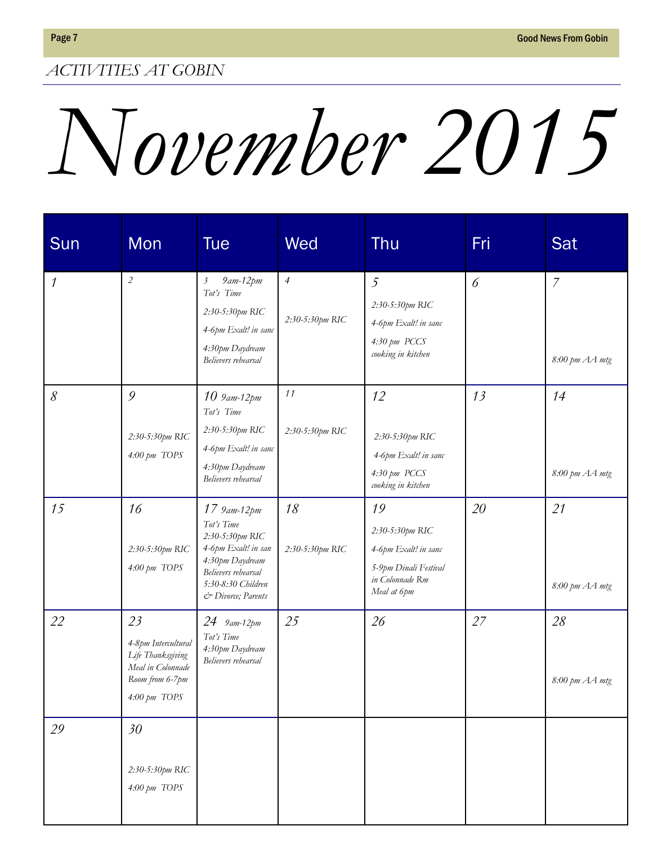## ACTIVITIES AT GOBIN

## November 2015

| Sun                      | Mon                                                                                                              | <b>Tue</b>                                                                                                                                                | Wed                               | Thu                                                                                                      | Fri | Sat                              |
|--------------------------|------------------------------------------------------------------------------------------------------------------|-----------------------------------------------------------------------------------------------------------------------------------------------------------|-----------------------------------|----------------------------------------------------------------------------------------------------------|-----|----------------------------------|
| $\overline{\phantom{a}}$ | $\sqrt{2}$                                                                                                       | 9am-12pm<br>$\beta$<br>Tot's Time<br>2:30-5:30pm RIC<br>4-6pm Exalt! in sanc<br>4:30pm Daydream<br>Believers rehearsal                                    | $\overline{4}$<br>2:30-5:30pm RIC | $\overline{5}$<br>2:30-5:30pm RIC<br>4-6pm Exalt! in sanc<br>4:30 pm PCCS<br>cooking in kitchen          | 6   | $\overline{7}$<br>8:00 pm AA mtg |
| 8                        | 9<br>2:30-5:30pm RIC<br>$4.00 \text{ pm}$ TOPS                                                                   | $10\,$ 9 am-12 pm<br>Tot's Time<br>2:30-5:30pm RIC<br>4-6pm Exalt! in sanc<br>4:30pm Daydream<br>Believers rehearsal                                      | 11<br>2:30-5:30pm RIC             | 12<br>2:30-5:30pm RIC<br>4-6pm Exalt! in sanc<br>4:30 pm PCCS<br>cooking in kitchen                      | 13  | 14<br>8:00 pm AA mtg             |
| 15                       | 16<br>2:30-5:30pm RIC<br>4:00 pm TOPS                                                                            | 17 9am-12pm<br>Tot's Time<br>2:30-5:30pm RIC<br>4-6pm Exalt! in san<br>4:30pm Daydream<br>Believers rehearsal<br>5:30-8:30 Children<br>& Divorce; Parents | 18<br>2:30-5:30pm RIC             | 19<br>2:30-5:30pm RIC<br>4-6pm Exalt! in sanc<br>5-9pm Dinali Festival<br>in Colonnade Rm<br>Meal at 6pm | 20  | 21<br>8:00 pm AA mtg             |
| 22                       | 23<br>4-8pm Intercultural<br>Life Thanksgiving<br>Meal in Colonnade<br>Room from 6-7pm<br>$4.00 \text{ pm}$ TOPS | 24 9am-12pm<br>Tot's Time<br>4:30pm Daydream<br>Believers rehearsal                                                                                       | 25                                | 26                                                                                                       | 27  | 28<br>8:00 pm AA mtg             |
| 29                       | 30<br>2:30-5:30pm RIC<br>4:00 pm TOPS                                                                            |                                                                                                                                                           |                                   |                                                                                                          |     |                                  |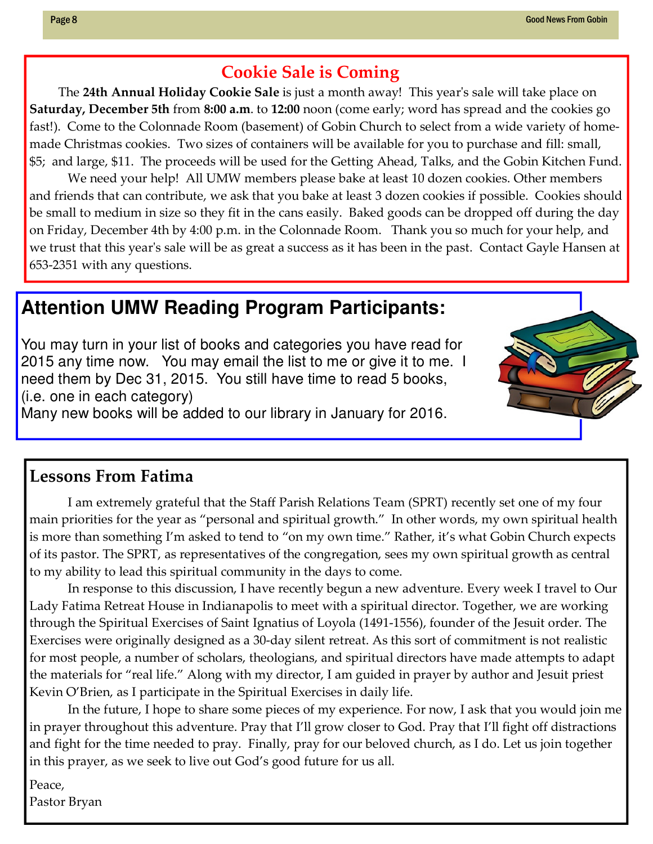## Cookie Sale is Coming

The 24th Annual Holiday Cookie Sale is just a month away! This year's sale will take place on Saturday, December 5th from 8:00 a.m. to 12:00 noon (come early; word has spread and the cookies go fast!). Come to the Colonnade Room (basement) of Gobin Church to select from a wide variety of homemade Christmas cookies. Two sizes of containers will be available for you to purchase and fill: small, \$5; and large, \$11. The proceeds will be used for the Getting Ahead, Talks, and the Gobin Kitchen Fund.

 We need your help! All UMW members please bake at least 10 dozen cookies. Other members and friends that can contribute, we ask that you bake at least 3 dozen cookies if possible. Cookies should be small to medium in size so they fit in the cans easily. Baked goods can be dropped off during the day on Friday, December 4th by 4:00 p.m. in the Colonnade Room. Thank you so much for your help, and we trust that this year's sale will be as great a success as it has been in the past. Contact Gayle Hansen at 653-2351 with any questions.

## **Attention UMW Reading Program Participants:**

You may turn in your list of books and categories you have read for 2015 any time now. You may email the list to me or give it to me. I need them by Dec 31, 2015. You still have time to read 5 books, (i.e. one in each category)

Many new books will be added to our library in January for 2016.

## Lessons From Fatima

 I am extremely grateful that the Staff Parish Relations Team (SPRT) recently set one of my four main priorities for the year as "personal and spiritual growth." In other words, my own spiritual health is more than something I'm asked to tend to "on my own time." Rather, it's what Gobin Church expects of its pastor. The SPRT, as representatives of the congregation, sees my own spiritual growth as central to my ability to lead this spiritual community in the days to come.

 In response to this discussion, I have recently begun a new adventure. Every week I travel to Our Lady Fatima Retreat House in Indianapolis to meet with a spiritual director. Together, we are working through the Spiritual Exercises of Saint Ignatius of Loyola (1491-1556), founder of the Jesuit order. The Exercises were originally designed as a 30-day silent retreat. As this sort of commitment is not realistic for most people, a number of scholars, theologians, and spiritual directors have made attempts to adapt the materials for "real life." Along with my director, I am guided in prayer by author and Jesuit priest Kevin O'Brien, as I participate in the Spiritual Exercises in daily life.

 In the future, I hope to share some pieces of my experience. For now, I ask that you would join me in prayer throughout this adventure. Pray that I'll grow closer to God. Pray that I'll fight off distractions and fight for the time needed to pray. Finally, pray for our beloved church, as I do. Let us join together in this prayer, as we seek to live out God's good future for us all.

Peace,

Pastor Bryan

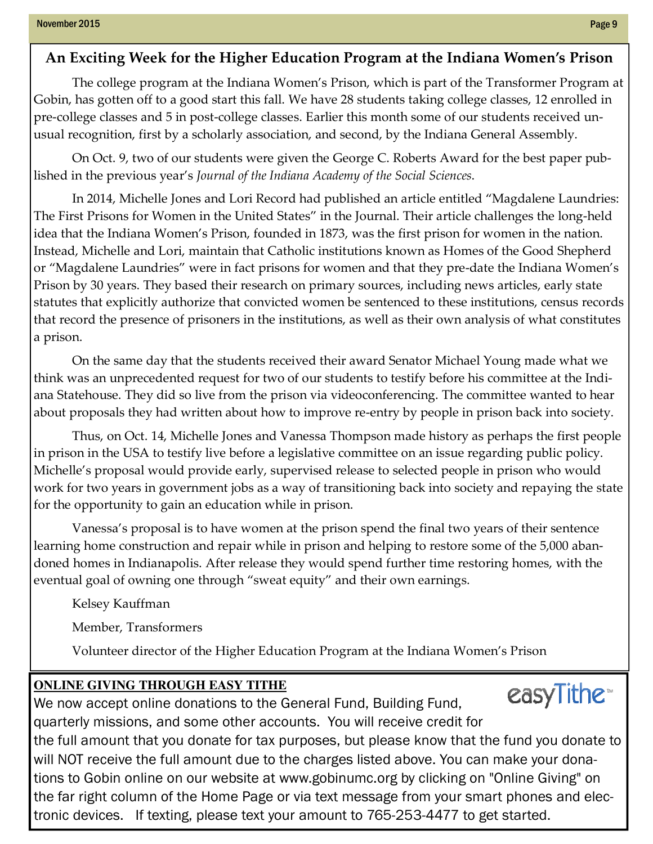## An Exciting Week for the Higher Education Program at the Indiana Women's Prison

 The college program at the Indiana Women's Prison, which is part of the Transformer Program at Gobin, has gotten off to a good start this fall. We have 28 students taking college classes, 12 enrolled in pre-college classes and 5 in post-college classes. Earlier this month some of our students received unusual recognition, first by a scholarly association, and second, by the Indiana General Assembly.

 On Oct. 9, two of our students were given the George C. Roberts Award for the best paper published in the previous year's Journal of the Indiana Academy of the Social Sciences.

 In 2014, Michelle Jones and Lori Record had published an article entitled "Magdalene Laundries: The First Prisons for Women in the United States" in the Journal. Their article challenges the long-held idea that the Indiana Women's Prison, founded in 1873, was the first prison for women in the nation. Instead, Michelle and Lori, maintain that Catholic institutions known as Homes of the Good Shepherd or "Magdalene Laundries" were in fact prisons for women and that they pre-date the Indiana Women's Prison by 30 years. They based their research on primary sources, including news articles, early state statutes that explicitly authorize that convicted women be sentenced to these institutions, census records that record the presence of prisoners in the institutions, as well as their own analysis of what constitutes a prison.

 On the same day that the students received their award Senator Michael Young made what we think was an unprecedented request for two of our students to testify before his committee at the Indiana Statehouse. They did so live from the prison via videoconferencing. The committee wanted to hear about proposals they had written about how to improve re-entry by people in prison back into society.

 Thus, on Oct. 14, Michelle Jones and Vanessa Thompson made history as perhaps the first people in prison in the USA to testify live before a legislative committee on an issue regarding public policy. Michelle's proposal would provide early, supervised release to selected people in prison who would work for two years in government jobs as a way of transitioning back into society and repaying the state for the opportunity to gain an education while in prison.

 Vanessa's proposal is to have women at the prison spend the final two years of their sentence learning home construction and repair while in prison and helping to restore some of the 5,000 abandoned homes in Indianapolis. After release they would spend further time restoring homes, with the eventual goal of owning one through "sweat equity" and their own earnings.

Kelsey Kauffman

Member, Transformers

Volunteer director of the Higher Education Program at the Indiana Women's Prison

## **ONLINE GIVING THROUGH EASY TITHE**

easyTithe™ We now accept online donations to the General Fund, Building Fund, quarterly missions, and some other accounts. You will receive credit for the full amount that you donate for tax purposes, but please know that the fund you donate to will NOT receive the full amount due to the charges listed above. You can make your donations to Gobin online on our website at www.gobinumc.org by clicking on "Online Giving" on the far right column of the Home Page or via text message from your smart phones and electronic devices. If texting, please text your amount to 765-253-4477 to get started.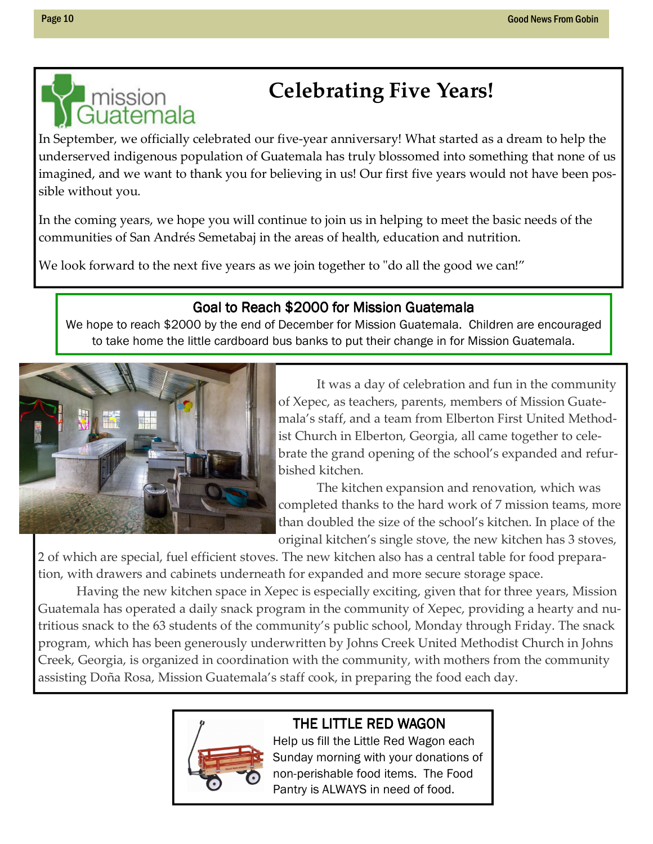## I mission **Celebrating Five Years!**<br>Guatemala

In September, we officially celebrated our five-year anniversary! What started as a dream to help the underserved indigenous population of Guatemala has truly blossomed into something that none of us imagined, and we want to thank you for believing in us! Our first five years would not have been possible without you.

In the coming years, we hope you will continue to join us in helping to meet the basic needs of the communities of San Andrés Semetabaj in the areas of health, education and nutrition.

We look forward to the next five years as we join together to "do all the good we can!"

## Goal to Reach \$2000 for Mission Guatemala

We hope to reach \$2000 by the end of December for Mission Guatemala. Children are encouraged to take home the little cardboard bus banks to put their change in for Mission Guatemala.



 It was a day of celebration and fun in the community of Xepec, as teachers, parents, members of Mission Guatemala's staff, and a team from Elberton First United Methodist Church in Elberton, Georgia, all came together to celebrate the grand opening of the school's expanded and refurbished kitchen.

 The kitchen expansion and renovation, which was completed thanks to the hard work of 7 mission teams, more than doubled the size of the school's kitchen. In place of the original kitchen's single stove, the new kitchen has 3 stoves,

2 of which are special, fuel efficient stoves. The new kitchen also has a central table for food preparation, with drawers and cabinets underneath for expanded and more secure storage space.

 Having the new kitchen space in Xepec is especially exciting, given that for three years, Mission Guatemala has operated a daily snack program in the community of Xepec, providing a hearty and nutritious snack to the 63 students of the community's public school, Monday through Friday. The snack program, which has been generously underwritten by Johns Creek United Methodist Church in Johns Creek, Georgia, is organized in coordination with the community, with mothers from the community assisting Doña Rosa, Mission Guatemala's staff cook, in preparing the food each day.



## THE LITTLE RED WAGON

Help us fill the Little Red Wagon each Sunday morning with your donations of non-perishable food items. The Food Pantry is ALWAYS in need of food.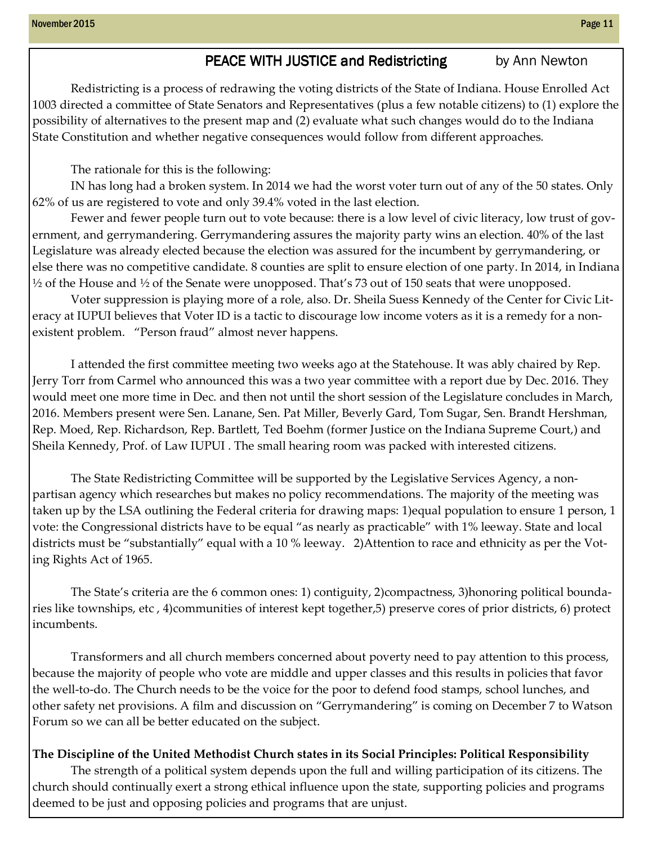## PEACE WITH JUSTICE and Redistricting by Ann Newton

Redistricting is a process of redrawing the voting districts of the State of Indiana. House Enrolled Act 1003 directed a committee of State Senators and Representatives (plus a few notable citizens) to (1) explore the possibility of alternatives to the present map and (2) evaluate what such changes would do to the Indiana State Constitution and whether negative consequences would follow from different approaches.

The rationale for this is the following:

IN has long had a broken system. In 2014 we had the worst voter turn out of any of the 50 states. Only 62% of us are registered to vote and only 39.4% voted in the last election.

Fewer and fewer people turn out to vote because: there is a low level of civic literacy, low trust of government, and gerrymandering. Gerrymandering assures the majority party wins an election. 40% of the last Legislature was already elected because the election was assured for the incumbent by gerrymandering, or else there was no competitive candidate. 8 counties are split to ensure election of one party. In 2014, in Indiana  $\frac{1}{2}$  of the House and  $\frac{1}{2}$  of the Senate were unopposed. That's 73 out of 150 seats that were unopposed.

Voter suppression is playing more of a role, also. Dr. Sheila Suess Kennedy of the Center for Civic Literacy at IUPUI believes that Voter ID is a tactic to discourage low income voters as it is a remedy for a nonexistent problem. "Person fraud" almost never happens.

I attended the first committee meeting two weeks ago at the Statehouse. It was ably chaired by Rep. Jerry Torr from Carmel who announced this was a two year committee with a report due by Dec. 2016. They would meet one more time in Dec. and then not until the short session of the Legislature concludes in March, 2016. Members present were Sen. Lanane, Sen. Pat Miller, Beverly Gard, Tom Sugar, Sen. Brandt Hershman, Rep. Moed, Rep. Richardson, Rep. Bartlett, Ted Boehm (former Justice on the Indiana Supreme Court,) and Sheila Kennedy, Prof. of Law IUPUI . The small hearing room was packed with interested citizens.

The State Redistricting Committee will be supported by the Legislative Services Agency, a nonpartisan agency which researches but makes no policy recommendations. The majority of the meeting was taken up by the LSA outlining the Federal criteria for drawing maps: 1)equal population to ensure 1 person, 1 vote: the Congressional districts have to be equal "as nearly as practicable" with 1% leeway. State and local districts must be "substantially" equal with a 10 % leeway. 2)Attention to race and ethnicity as per the Voting Rights Act of 1965.

The State's criteria are the 6 common ones: 1) contiguity, 2)compactness, 3)honoring political boundaries like townships, etc , 4)communities of interest kept together,5) preserve cores of prior districts, 6) protect incumbents.

Transformers and all church members concerned about poverty need to pay attention to this process, because the majority of people who vote are middle and upper classes and this results in policies that favor the well-to-do. The Church needs to be the voice for the poor to defend food stamps, school lunches, and other safety net provisions. A film and discussion on "Gerrymandering" is coming on December 7 to Watson Forum so we can all be better educated on the subject.

## The Discipline of the United Methodist Church states in its Social Principles: Political Responsibility

The strength of a political system depends upon the full and willing participation of its citizens. The church should continually exert a strong ethical influence upon the state, supporting policies and programs deemed to be just and opposing policies and programs that are unjust.